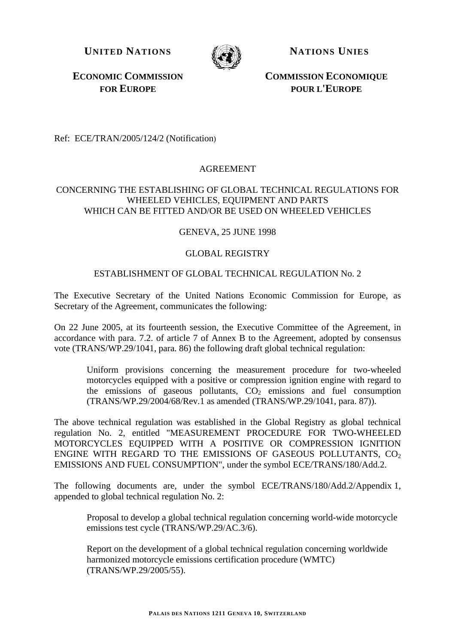**UNITED NATIONS NATIONS NATIONS** 



**ECONOMIC COMMISSION FOR EUROPE**

 **COMMISSION ECONOMIQUE POUR L'EUROPE**

Ref: ECE/TRAN/2005/124/2 (Notification)

# AGREEMENT

# CONCERNING THE ESTABLISHING OF GLOBAL TECHNICAL REGULATIONS FOR WHEELED VEHICLES, EQUIPMENT AND PARTS WHICH CAN BE FITTED AND/OR BE USED ON WHEELED VEHICLES

# GENEVA, 25 JUNE 1998

# GLOBAL REGISTRY

# ESTABLISHMENT OF GLOBAL TECHNICAL REGULATION No. 2

The Executive Secretary of the United Nations Economic Commission for Europe, as Secretary of the Agreement, communicates the following:

On 22 June 2005, at its fourteenth session, the Executive Committee of the Agreement, in accordance with para. 7.2. of article 7 of Annex B to the Agreement, adopted by consensus vote (TRANS/WP.29/1041, para. 86) the following draft global technical regulation:

Uniform provisions concerning the measurement procedure for two-wheeled motorcycles equipped with a positive or compression ignition engine with regard to the emissions of gaseous pollutants,  $CO<sub>2</sub>$  emissions and fuel consumption (TRANS/WP.29/2004/68/Rev.1 as amended (TRANS/WP.29/1041, para. 87)).

The above technical regulation was established in the Global Registry as global technical regulation No. 2, entitled "MEASUREMENT PROCEDURE FOR TWO-WHEELED MOTORCYCLES EQUIPPED WITH A POSITIVE OR COMPRESSION IGNITION ENGINE WITH REGARD TO THE EMISSIONS OF GASEOUS POLLUTANTS,  $CO<sub>2</sub>$ EMISSIONS AND FUEL CONSUMPTION", under the symbol ECE/TRANS/180/Add.2.

The following documents are, under the symbol ECE/TRANS/180/Add.2/Appendix 1, appended to global technical regulation No. 2:

Proposal to develop a global technical regulation concerning world-wide motorcycle emissions test cycle (TRANS/WP.29/AC.3/6).

Report on the development of a global technical regulation concerning worldwide harmonized motorcycle emissions certification procedure (WMTC) (TRANS/WP.29/2005/55).